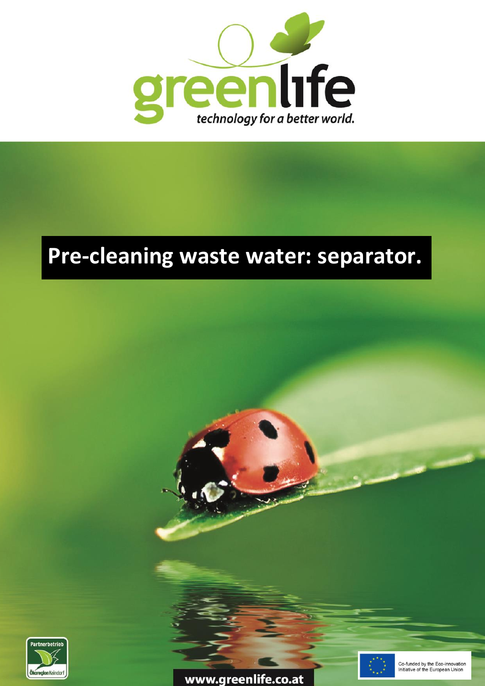

## **Pre-cleaning waste water: separator.**



www.greenlife.co.at



Co-funded by the Eco-innovation Initiative of the European Union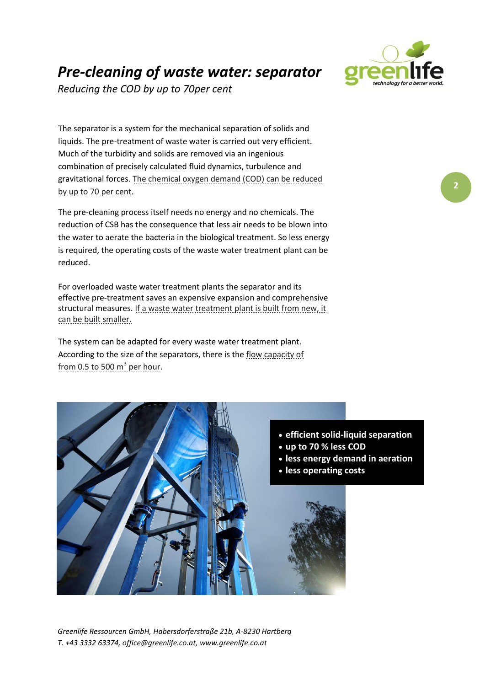## *Pre-cleaning of waste water: separator*

*Reducing the COD by up to 70per cent*

The separator is a system for the mechanical separation of solids and liquids. The pre-treatment of waste water is carried out very efficient. Much of the turbidity and solids are removed via an ingenious combination of precisely calculated fluid dynamics, turbulence and gravitational forces. The chemical oxygen demand (COD) can be reduced by up to 70 per cent.

The pre-cleaning process itself needs no energy and no chemicals. The reduction of CSB has the consequence that less air needs to be blown into the water to aerate the bacteria in the biological treatment. So less energy is required, the operating costs of the waste water treatment plant can be reduced.

For overloaded waste water treatment plants the separator and its effective pre-treatment saves an expensive expansion and comprehensive structural measures. If a waste water treatment plant is built from new, it can be built smaller.

The system can be adapted for every waste water treatment plant. According to the size of the separators, there is the flow capacity of from 0.5 to 500  $m^3$  per hour.



*Greenlife Ressourcen GmbH, Habersdorferstraße 21b, A-8230 Hartberg T. +43 3332 63374, office@greenlife.co.at, www.greenlife.co.at* 2